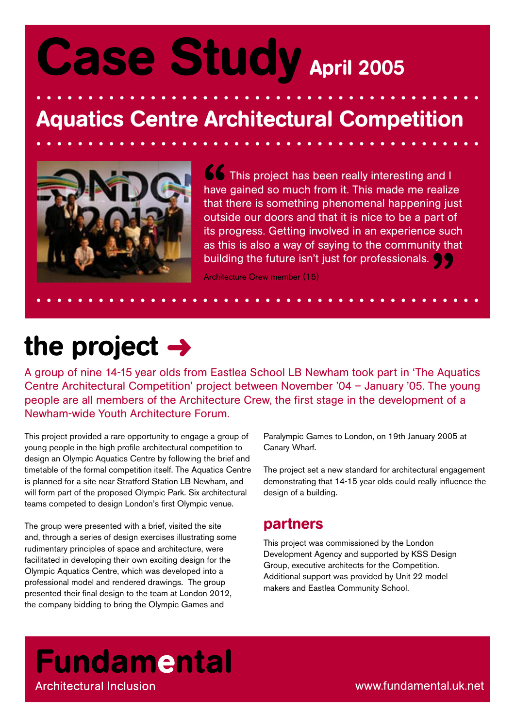# Case Study April 2005

## Aquatics Centre Architectural Competition



**S** This project has been really interesting and I have gained so much from it. This made me realize that there is something phenomenal happening just outside our doors and that it is nice to be a part of its progress. Getting involved in an experience such as this is also a way of saying to the community that building the future isn't just for professionals.  $\bigcirc$ 

Architecture Crew member (15)

## the project  $\rightarrow$

A group of nine 14-15 year olds from Eastlea School LB Newham took part in 'The Aquatics Centre Architectural Competition' project between November '04 – January '05. The young people are all members of the Architecture Crew, the first stage in the development of a Newham-wide Youth Architecture Forum.

This project provided a rare opportunity to engage a group of young people in the high profile architectural competition to design an Olympic Aquatics Centre by following the brief and timetable of the formal competition itself. The Aquatics Centre is planned for a site near Stratford Station LB Newham, and will form part of the proposed Olympic Park. Six architectural teams competed to design London's first Olympic venue.

The group were presented with a brief, visited the site and, through a series of design exercises illustrating some rudimentary principles of space and architecture, were facilitated in developing their own exciting design for the Olympic Aquatics Centre, which was developed into a professional model and rendered drawings. The group presented their final design to the team at London 2012, the company bidding to bring the Olympic Games and

Paralympic Games to London, on 19th January 2005 at Canary Wharf.

The project set a new standard for architectural engagement demonstrating that 14-15 year olds could really influence the design of a building.

#### partners

This project was commissioned by the London Development Agency and supported by KSS Design Group, executive architects for the Competition. Additional support was provided by Unit 22 model makers and Eastlea Community School.

### **Fundamental Architectural Inclusion**

www.fundamental.uk.net